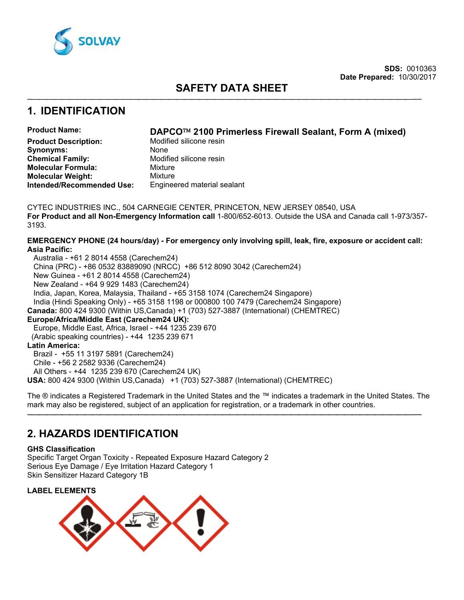

# **SAFETY DATA SHEET**

−⎯⎯⎯⎯⎯⎯⎯⎯⎯⎯⎯⎯⎯⎯⎯⎯⎯⎯⎯⎯⎯⎯⎯⎯⎯⎯⎯⎯⎯⎯⎯⎯⎯⎯⎯⎯⎯⎯⎯⎯⎯⎯⎯⎯⎯⎯⎯⎯⎯⎯−−

## **1. IDENTIFICATION**

## **Product Name: DAPCO**™ **2100 Primerless Firewall Sealant, Form A (mixed)**

**Product Description:** Modified silicone resin **Synonyms:** None<br> **Chemical Family:** Modif **Modified silicone resin<br>Mixture Molecular Formula:** Mixture **Molecular Weight: Intended/Recommended Use:** Engineered material sealant

CYTEC INDUSTRIES INC., 504 CARNEGIE CENTER, PRINCETON, NEW JERSEY 08540, USA **For Product and all Non-Emergency Information call** 1-800/652-6013. Outside the USA and Canada call 1-973/357- 3193.

## **EMERGENCY PHONE (24 hours/day) - For emergency only involving spill, leak, fire, exposure or accident call: Asia Pacific:**

 Australia - +61 2 8014 4558 (Carechem24) China (PRC) - +86 0532 83889090 (NRCC) +86 512 8090 3042 (Carechem24) New Guinea - +61 2 8014 4558 (Carechem24) New Zealand - +64 9 929 1483 (Carechem24) India, Japan, Korea, Malaysia, Thailand - +65 3158 1074 (Carechem24 Singapore) India (Hindi Speaking Only) - +65 3158 1198 or 000800 100 7479 (Carechem24 Singapore) **Canada:** 800 424 9300 (Within US,Canada) +1 (703) 527-3887 (International) (CHEMTREC) **Europe/Africa/Middle East (Carechem24 UK):** Europe, Middle East, Africa, Israel - +44 1235 239 670 (Arabic speaking countries) - +44 1235 239 671 **Latin America:** Brazil - +55 11 3197 5891 (Carechem24) Chile - +56 2 2582 9336 (Carechem24)

All Others - +44 1235 239 670 (Carechem24 UK)

**USA:** 800 424 9300 (Within US,Canada) +1 (703) 527-3887 (International) (CHEMTREC)

The ® indicates a Registered Trademark in the United States and the ™ indicates a trademark in the United States. The mark may also be registered, subject of an application for registration, or a trademark in other countries.

−⎯⎯⎯⎯⎯⎯⎯⎯⎯⎯⎯⎯⎯⎯⎯⎯⎯⎯⎯⎯⎯⎯⎯⎯⎯⎯⎯⎯⎯⎯⎯⎯⎯⎯⎯⎯⎯⎯⎯⎯⎯⎯⎯⎯⎯⎯⎯⎯⎯⎯−−

# **2. HAZARDS IDENTIFICATION**

## **GHS Classification**

Specific Target Organ Toxicity - Repeated Exposure Hazard Category 2 Serious Eye Damage / Eye Irritation Hazard Category 1 Skin Sensitizer Hazard Category 1B

**LABEL ELEMENTS**

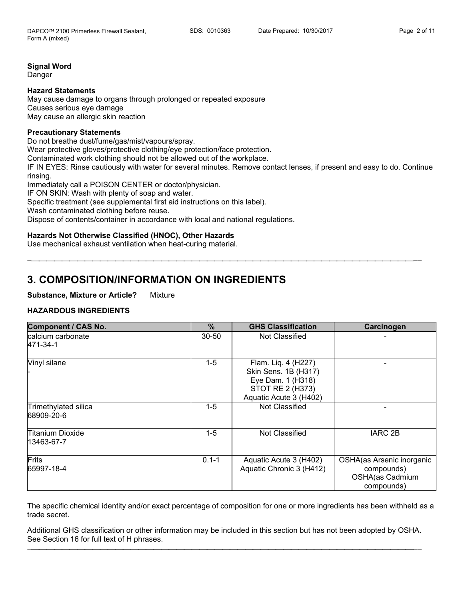## **Signal Word**

Danger

## **Hazard Statements**

May cause damage to organs through prolonged or repeated exposure Causes serious eye damage May cause an allergic skin reaction

### **Precautionary Statements**

Do not breathe dust/fume/gas/mist/vapours/spray. Wear protective gloves/protective clothing/eye protection/face protection. Contaminated work clothing should not be allowed out of the workplace. IF IN EYES: Rinse cautiously with water for several minutes. Remove contact lenses, if present and easy to do. Continue rinsing. Immediately call a POISON CENTER or doctor/physician. IF ON SKIN: Wash with plenty of soap and water.

−⎯⎯⎯⎯⎯⎯⎯⎯⎯⎯⎯⎯⎯⎯⎯⎯⎯⎯⎯⎯⎯⎯⎯⎯⎯⎯⎯⎯⎯⎯⎯⎯⎯⎯⎯⎯⎯⎯⎯⎯⎯⎯⎯⎯⎯⎯⎯⎯⎯⎯−−

Specific treatment (see supplemental first aid instructions on this label).

Wash contaminated clothing before reuse.

Dispose of contents/container in accordance with local and national regulations.

## **Hazards Not Otherwise Classified (HNOC), Other Hazards**

Use mechanical exhaust ventilation when heat-curing material.

## **3. COMPOSITION/INFORMATION ON INGREDIENTS**

#### **Substance, Mixture or Article?** Mixture

## **HAZARDOUS INGREDIENTS**

| <b>Component / CAS No.</b>         | %         | <b>GHS Classification</b>                                                                                      | Carcinogen                                                               |
|------------------------------------|-----------|----------------------------------------------------------------------------------------------------------------|--------------------------------------------------------------------------|
| calcium carbonate<br>471-34-1      | 30-50     | Not Classified                                                                                                 |                                                                          |
| Vinyl silane                       | $1-5$     | Flam. Liq. 4 (H227)<br>Skin Sens. 1B (H317)<br>Eye Dam. 1 (H318)<br>STOT RE 2 (H373)<br>Aquatic Acute 3 (H402) |                                                                          |
| Trimethylated silica<br>68909-20-6 | $1-5$     | Not Classified                                                                                                 |                                                                          |
| Titanium Dioxide<br>13463-67-7     | $1-5$     | Not Classified                                                                                                 | <b>IARC 2B</b>                                                           |
| Frits<br>65997-18-4                | $0.1 - 1$ | Aquatic Acute 3 (H402)<br>Aquatic Chronic 3 (H412)                                                             | OSHA(as Arsenic inorganic<br>compounds)<br>OSHA(as Cadmium<br>compounds) |

The specific chemical identity and/or exact percentage of composition for one or more ingredients has been withheld as a trade secret.

Additional GHS classification or other information may be included in this section but has not been adopted by OSHA. See Section 16 for full text of H phrases. −⎯⎯⎯⎯⎯⎯⎯⎯⎯⎯⎯⎯⎯⎯⎯⎯⎯⎯⎯⎯⎯⎯⎯⎯⎯⎯⎯⎯⎯⎯⎯⎯⎯⎯⎯⎯⎯⎯⎯⎯⎯⎯⎯⎯⎯⎯⎯⎯⎯⎯−−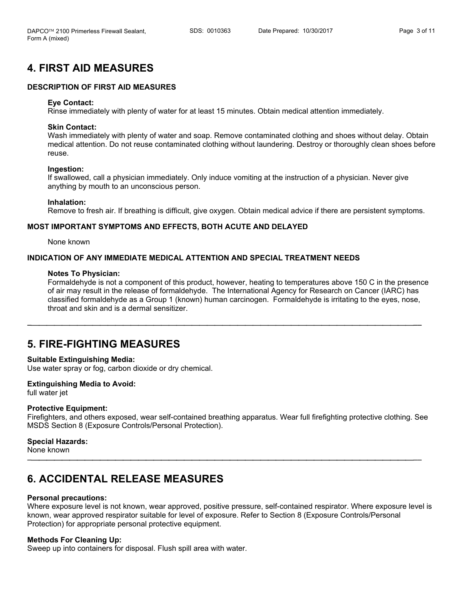# **4. FIRST AID MEASURES**

## **DESCRIPTION OF FIRST AID MEASURES**

#### **Eye Contact:**

Rinse immediately with plenty of water for at least 15 minutes. Obtain medical attention immediately.

#### **Skin Contact:**

Wash immediately with plenty of water and soap. Remove contaminated clothing and shoes without delay. Obtain medical attention. Do not reuse contaminated clothing without laundering. Destroy or thoroughly clean shoes before reuse.

#### **Ingestion:**

If swallowed, call a physician immediately. Only induce vomiting at the instruction of a physician. Never give anything by mouth to an unconscious person.

#### **Inhalation:**

Remove to fresh air. If breathing is difficult, give oxygen. Obtain medical advice if there are persistent symptoms.

#### **MOST IMPORTANT SYMPTOMS AND EFFECTS, BOTH ACUTE AND DELAYED**

None known

## **INDICATION OF ANY IMMEDIATE MEDICAL ATTENTION AND SPECIAL TREATMENT NEEDS**

#### **Notes To Physician:**

Formaldehyde is not a component of this product, however, heating to temperatures above 150 C in the presence of air may result in the release of formaldehyde. The International Agency for Research on Cancer (IARC) has classified formaldehyde as a Group 1 (known) human carcinogen. Formaldehyde is irritating to the eyes, nose, throat and skin and is a dermal sensitizer.

−⎯⎯⎯⎯⎯⎯⎯⎯⎯⎯⎯⎯⎯⎯⎯⎯⎯⎯⎯⎯⎯⎯⎯⎯⎯⎯⎯⎯⎯⎯⎯⎯⎯⎯⎯⎯⎯⎯⎯⎯⎯⎯⎯⎯⎯⎯⎯⎯⎯⎯−−

## **5. FIRE-FIGHTING MEASURES**

#### **Suitable Extinguishing Media:**

Use water spray or fog, carbon dioxide or dry chemical.

#### **Extinguishing Media to Avoid:**

full water jet

#### **Protective Equipment:**

Firefighters, and others exposed, wear self-contained breathing apparatus. Wear full firefighting protective clothing. See MSDS Section 8 (Exposure Controls/Personal Protection).

−⎯⎯⎯⎯⎯⎯⎯⎯⎯⎯⎯⎯⎯⎯⎯⎯⎯⎯⎯⎯⎯⎯⎯⎯⎯⎯⎯⎯⎯⎯⎯⎯⎯⎯⎯⎯⎯⎯⎯⎯⎯⎯⎯⎯⎯⎯⎯⎯⎯⎯−−

#### **Special Hazards:**

None known

## **6. ACCIDENTAL RELEASE MEASURES**

#### **Personal precautions:**

Where exposure level is not known, wear approved, positive pressure, self-contained respirator. Where exposure level is known, wear approved respirator suitable for level of exposure. Refer to Section 8 (Exposure Controls/Personal Protection) for appropriate personal protective equipment.

## **Methods For Cleaning Up:**

Sweep up into containers for disposal. Flush spill area with water.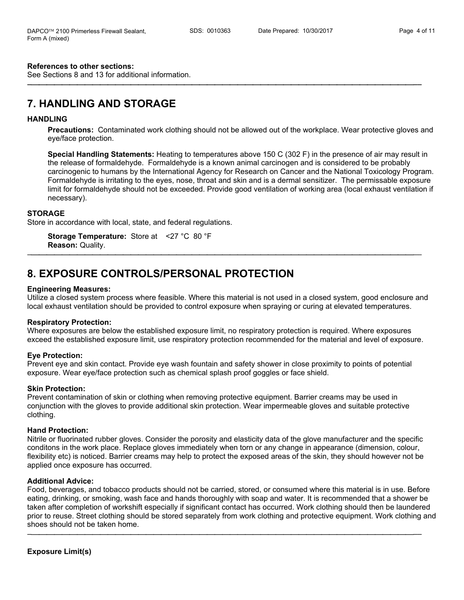#### **References to other sections:**

See Sections 8 and 13 for additional information.

# **7. HANDLING AND STORAGE**

#### **HANDLING**

**Precautions:** Contaminated work clothing should not be allowed out of the workplace. Wear protective gloves and eye/face protection.

−⎯⎯⎯⎯⎯⎯⎯⎯⎯⎯⎯⎯⎯⎯⎯⎯⎯⎯⎯⎯⎯⎯⎯⎯⎯⎯⎯⎯⎯⎯⎯⎯⎯⎯⎯⎯⎯⎯⎯⎯⎯⎯⎯⎯⎯⎯⎯⎯⎯⎯−−

**Special Handling Statements:** Heating to temperatures above 150 C (302 F) in the presence of air may result in the release of formaldehyde. Formaldehyde is a known animal carcinogen and is considered to be probably carcinogenic to humans by the International Agency for Research on Cancer and the National Toxicology Program. Formaldehyde is irritating to the eyes, nose, throat and skin and is a dermal sensitizer. The permissable exposure limit for formaldehyde should not be exceeded. Provide good ventilation of working area (local exhaust ventilation if necessary).

#### **STORAGE**

Store in accordance with local, state, and federal regulations.

**Storage Temperature:** Store at <27 °C 80 °F **Reason:** Quality.

## **8. EXPOSURE CONTROLS/PERSONAL PROTECTION**

#### **Engineering Measures:**

Utilize a closed system process where feasible. Where this material is not used in a closed system, good enclosure and local exhaust ventilation should be provided to control exposure when spraying or curing at elevated temperatures.

−⎯⎯⎯⎯⎯⎯⎯⎯⎯⎯⎯⎯⎯⎯⎯⎯⎯⎯⎯⎯⎯⎯⎯⎯⎯⎯⎯⎯⎯⎯⎯⎯⎯⎯⎯⎯⎯⎯⎯⎯⎯⎯⎯⎯⎯⎯⎯⎯⎯⎯−−

#### **Respiratory Protection:**

Where exposures are below the established exposure limit, no respiratory protection is required. Where exposures exceed the established exposure limit, use respiratory protection recommended for the material and level of exposure.

#### **Eye Protection:**

Prevent eye and skin contact. Provide eye wash fountain and safety shower in close proximity to points of potential exposure. Wear eye/face protection such as chemical splash proof goggles or face shield.

#### **Skin Protection:**

Prevent contamination of skin or clothing when removing protective equipment. Barrier creams may be used in conjunction with the gloves to provide additional skin protection. Wear impermeable gloves and suitable protective clothing.

#### **Hand Protection:**

Nitrile or fluorinated rubber gloves. Consider the porosity and elasticity data of the glove manufacturer and the specific conditons in the work place. Replace gloves immediately when torn or any change in appearance (dimension, colour, flexibility etc) is noticed. Barrier creams may help to protect the exposed areas of the skin, they should however not be applied once exposure has occurred.

## **Additional Advice:**

Food, beverages, and tobacco products should not be carried, stored, or consumed where this material is in use. Before eating, drinking, or smoking, wash face and hands thoroughly with soap and water. It is recommended that a shower be taken after completion of workshift especially if significant contact has occurred. Work clothing should then be laundered prior to reuse. Street clothing should be stored separately from work clothing and protective equipment. Work clothing and shoes should not be taken home.

−⎯⎯⎯⎯⎯⎯⎯⎯⎯⎯⎯⎯⎯⎯⎯⎯⎯⎯⎯⎯⎯⎯⎯⎯⎯⎯⎯⎯⎯⎯⎯⎯⎯⎯⎯⎯⎯⎯⎯⎯⎯⎯⎯⎯⎯⎯⎯⎯⎯⎯−−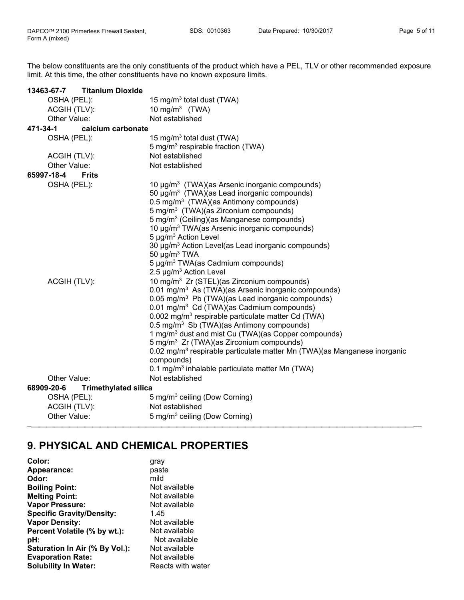The below constituents are the only constituents of the product which have a PEL, TLV or other recommended exposure limit. At this time, the other constituents have no known exposure limits.

| <b>Titanium Dioxide</b><br>13463-67-7     |                                                                                                                                                                                                                                                                                                                                                                                                                                                                                                                                                                                                                                                                                                                    |
|-------------------------------------------|--------------------------------------------------------------------------------------------------------------------------------------------------------------------------------------------------------------------------------------------------------------------------------------------------------------------------------------------------------------------------------------------------------------------------------------------------------------------------------------------------------------------------------------------------------------------------------------------------------------------------------------------------------------------------------------------------------------------|
| OSHA (PEL):                               | 15 mg/m <sup>3</sup> total dust (TWA)                                                                                                                                                                                                                                                                                                                                                                                                                                                                                                                                                                                                                                                                              |
| ACGIH (TLV):                              | 10 mg/m <sup>3</sup> (TWA)                                                                                                                                                                                                                                                                                                                                                                                                                                                                                                                                                                                                                                                                                         |
| Other Value:                              | Not established                                                                                                                                                                                                                                                                                                                                                                                                                                                                                                                                                                                                                                                                                                    |
| 471-34-1<br>calcium carbonate             |                                                                                                                                                                                                                                                                                                                                                                                                                                                                                                                                                                                                                                                                                                                    |
| OSHA (PEL):                               | 15 mg/m <sup>3</sup> total dust (TWA)                                                                                                                                                                                                                                                                                                                                                                                                                                                                                                                                                                                                                                                                              |
|                                           | 5 mg/m <sup>3</sup> respirable fraction (TWA)                                                                                                                                                                                                                                                                                                                                                                                                                                                                                                                                                                                                                                                                      |
| ACGIH (TLV):                              | Not established                                                                                                                                                                                                                                                                                                                                                                                                                                                                                                                                                                                                                                                                                                    |
| Other Value:                              | Not established                                                                                                                                                                                                                                                                                                                                                                                                                                                                                                                                                                                                                                                                                                    |
| 65997-18-4<br><b>Frits</b>                |                                                                                                                                                                                                                                                                                                                                                                                                                                                                                                                                                                                                                                                                                                                    |
| OSHA (PEL):                               | 10 µg/m <sup>3</sup> (TWA)(as Arsenic inorganic compounds)<br>50 µg/m <sup>3</sup> (TWA)(as Lead inorganic compounds)<br>$0.5 \text{ mg/m}^3$ (TWA)(as Antimony compounds)<br>5 mg/m <sup>3</sup> (TWA)(as Zirconium compounds)<br>5 mg/m <sup>3</sup> (Ceiling)(as Manganese compounds)<br>10 µg/m <sup>3</sup> TWA(as Arsenic inorganic compounds)<br>5 $\mu$ g/m <sup>3</sup> Action Level<br>30 µg/m <sup>3</sup> Action Level(as Lead inorganic compounds)<br>50 $\mu$ g/m <sup>3</sup> TWA<br>5 µg/m <sup>3</sup> TWA(as Cadmium compounds)                                                                                                                                                                  |
| ACGIH (TLV):                              | 2.5 µg/m <sup>3</sup> Action Level<br>10 mg/m <sup>3</sup> Zr (STEL)(as Zirconium compounds)<br>0.01 mg/m <sup>3</sup> As (TWA)(as Arsenic inorganic compounds)<br>0.05 mg/m <sup>3</sup> Pb (TWA)(as Lead inorganic compounds)<br>0.01 mg/m <sup>3</sup> Cd (TWA)(as Cadmium compounds)<br>0.002 mg/m <sup>3</sup> respirable particulate matter Cd (TWA)<br>$0.5 \text{ mg/m}^3$ Sb (TWA)(as Antimony compounds)<br>1 mg/m <sup>3</sup> dust and mist Cu (TWA)(as Copper compounds)<br>5 mg/m <sup>3</sup> Zr (TWA)(as Zirconium compounds)<br>0.02 mg/m <sup>3</sup> respirable particulate matter Mn (TWA)(as Manganese inorganic<br>compounds)<br>0.1 mg/m <sup>3</sup> inhalable particulate matter Mn (TWA) |
| Other Value:                              | Not established                                                                                                                                                                                                                                                                                                                                                                                                                                                                                                                                                                                                                                                                                                    |
| 68909-20-6<br><b>Trimethylated silica</b> |                                                                                                                                                                                                                                                                                                                                                                                                                                                                                                                                                                                                                                                                                                                    |
| OSHA (PEL):                               | 5 mg/m <sup>3</sup> ceiling (Dow Corning)                                                                                                                                                                                                                                                                                                                                                                                                                                                                                                                                                                                                                                                                          |
| ACGIH (TLV):                              | Not established                                                                                                                                                                                                                                                                                                                                                                                                                                                                                                                                                                                                                                                                                                    |
| Other Value:                              | 5 mg/m <sup>3</sup> ceiling (Dow Corning)                                                                                                                                                                                                                                                                                                                                                                                                                                                                                                                                                                                                                                                                          |

−⎯⎯⎯⎯⎯⎯⎯⎯⎯⎯⎯⎯⎯⎯⎯⎯⎯⎯⎯⎯⎯⎯⎯⎯⎯⎯⎯⎯⎯⎯⎯⎯⎯⎯⎯⎯⎯⎯⎯⎯⎯⎯⎯⎯⎯⎯⎯⎯⎯⎯−−

# **9. PHYSICAL AND CHEMICAL PROPERTIES**

| gray              |
|-------------------|
| paste             |
| mild              |
| Not available     |
| Not available     |
| Not available     |
| 1.45              |
| Not available     |
| Not available     |
| Not available     |
| Not available     |
| Not available     |
| Reacts with water |
|                   |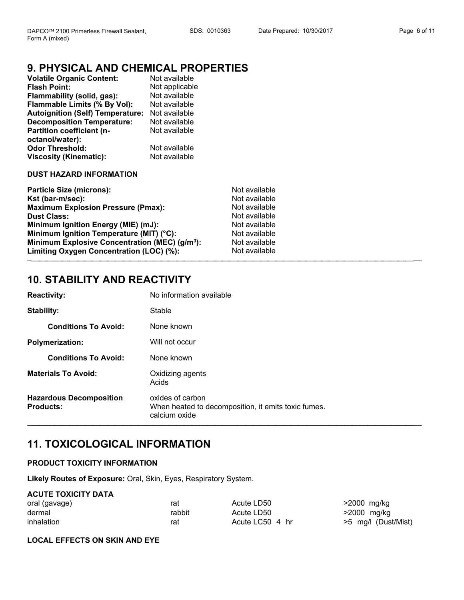−⎯⎯⎯⎯⎯⎯⎯⎯⎯⎯⎯⎯⎯⎯⎯⎯⎯⎯⎯⎯⎯⎯⎯⎯⎯⎯⎯⎯⎯⎯⎯⎯⎯⎯⎯⎯⎯⎯⎯⎯⎯⎯⎯⎯⎯⎯⎯⎯⎯⎯−−

#### Page 6 of 11

# **9. PHYSICAL AND CHEMICAL PROPERTIES**

| <b>Volatile Organic Content:</b>        | Not available  |
|-----------------------------------------|----------------|
| <b>Flash Point:</b>                     | Not applicable |
| Flammability (solid, gas):              | Not available  |
| Flammable Limits (% By Vol):            | Not available  |
| <b>Autoignition (Self) Temperature:</b> | Not available  |
| <b>Decomposition Temperature:</b>       | Not available  |
| Partition coefficient (n-               | Not available  |
| octanol/water):                         |                |
| <b>Odor Threshold:</b>                  | Not available  |
| <b>Viscosity (Kinematic):</b>           | Not available  |
| <b>DUST HAZARD INFORMATION</b>          |                |

## **Particle Size (microns):** Not available Kst (bar-m/sec): Not available **Maximum Explosion Pressure (Pmax):** Not available **Dust Class:** Not available **Number Class:** Not available **Minimum Ignition Energy (MIE)** (mJ): **Minimum Ignition Energy (MIE) (mJ): Minimum Ignition Temperature (MIT) (°C):** Not available **Minimum Explosive Concentration (MEC) (g/m<sup>3</sup>): Not available**

Limiting Oxygen Concentration (LOC) (%): Not available

# **10. STABILITY AND REACTIVITY**

| <b>Reactivity:</b>                                 | No information available                                                                 |
|----------------------------------------------------|------------------------------------------------------------------------------------------|
| Stability:                                         | Stable                                                                                   |
| <b>Conditions To Avoid:</b>                        | None known                                                                               |
| <b>Polymerization:</b>                             | Will not occur                                                                           |
| <b>Conditions To Avoid:</b>                        | None known                                                                               |
| <b>Materials To Avoid:</b>                         | Oxidizing agents<br>Acids                                                                |
| <b>Hazardous Decomposition</b><br><b>Products:</b> | oxides of carbon<br>When heated to decomposition, it emits toxic fumes.<br>calcium oxide |

# **11. TOXICOLOGICAL INFORMATION**

## **PRODUCT TOXICITY INFORMATION**

**Likely Routes of Exposure:** Oral, Skin, Eyes, Respiratory System.

## **ACUTE TOXICITY DATA**

| oral (gavage) | rat    | Acute LD50      | >2000 mg/kg          |
|---------------|--------|-----------------|----------------------|
| dermal        | rabbit | Acute LD50      | .>2000 mg/kg         |
| inhalation    | rat    | Acute LC50 4 hr | .>5 mg/l (Dust/Mist) |

−⎯⎯⎯⎯⎯⎯⎯⎯⎯⎯⎯⎯⎯⎯⎯⎯⎯⎯⎯⎯⎯⎯⎯⎯⎯⎯⎯⎯⎯⎯⎯⎯⎯⎯⎯⎯⎯⎯⎯⎯⎯⎯⎯⎯⎯⎯⎯⎯⎯⎯−−

## **LOCAL EFFECTS ON SKIN AND EYE**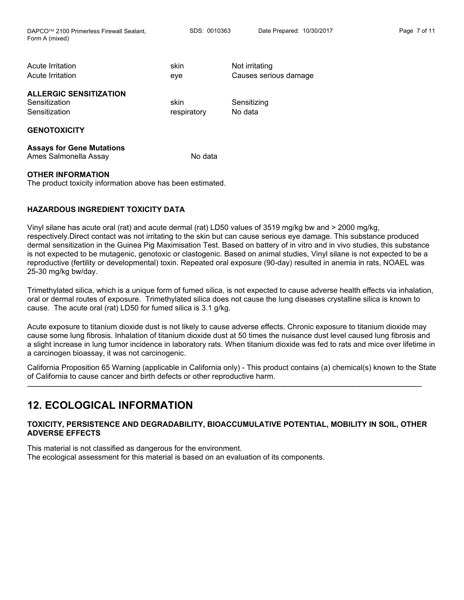DAPCO™ 2100 Primerless Firewall Sealant, SDS: 0010363 Date Prepared: 10/30/2017 Page 7 of 11 Form A (mixed)

| Acute Irritation<br>Acute Irritation                            | skin<br>eye         | Not irritating<br>Causes serious damage |
|-----------------------------------------------------------------|---------------------|-----------------------------------------|
| <b>ALLERGIC SENSITIZATION</b><br>Sensitization<br>Sensitization | skin<br>respiratory | Sensitizing<br>No data                  |
| <b>GENOTOXICITY</b>                                             |                     |                                         |

**Assays for Gene Mutations** Ames Salmonella Assay No data

## **OTHER INFORMATION**

The product toxicity information above has been estimated.

## **HAZARDOUS INGREDIENT TOXICITY DATA**

Vinyl silane has acute oral (rat) and acute dermal (rat) LD50 values of 3519 mg/kg bw and > 2000 mg/kg, respectively.Direct contact was not irritating to the skin but can cause serious eye damage. This substance produced dermal sensitization in the Guinea Pig Maximisation Test. Based on battery of in vitro and in vivo studies, this substance is not expected to be mutagenic, genotoxic or clastogenic. Based on animal studies, Vinyl silane is not expected to be a reproductive (fertility or developmental) toxin. Repeated oral exposure (90-day) resulted in anemia in rats, NOAEL was 25-30 mg/kg bw/day.

Trimethylated silica, which is a unique form of fumed silica, is not expected to cause adverse health effects via inhalation, oral or dermal routes of exposure. Trimethylated silica does not cause the lung diseases crystalline silica is known to cause. The acute oral (rat) LD50 for fumed silica is 3.1 g/kg.

Acute exposure to titanium dioxide dust is not likely to cause adverse effects. Chronic exposure to titanium dioxide may cause some lung fibrosis. Inhalation of titanium dioxide dust at 50 times the nuisance dust level caused lung fibrosis and a slight increase in lung tumor incidence in laboratory rats. When titanium dioxide was fed to rats and mice over lifetime in a carcinogen bioassay, it was not carcinogenic.

California Proposition 65 Warning (applicable in California only) - This product contains (a) chemical(s) known to the State of California to cause cancer and birth defects or other reproductive harm.

−⎯⎯⎯⎯⎯⎯⎯⎯⎯⎯⎯⎯⎯⎯⎯⎯⎯⎯⎯⎯⎯⎯⎯⎯⎯⎯⎯⎯⎯⎯⎯⎯⎯⎯⎯⎯⎯⎯⎯⎯⎯⎯⎯⎯⎯⎯⎯⎯⎯⎯−−

## **12. ECOLOGICAL INFORMATION**

## **TOXICITY, PERSISTENCE AND DEGRADABILITY, BIOACCUMULATIVE POTENTIAL, MOBILITY IN SOIL, OTHER ADVERSE EFFECTS**

This material is not classified as dangerous for the environment. The ecological assessment for this material is based on an evaluation of its components.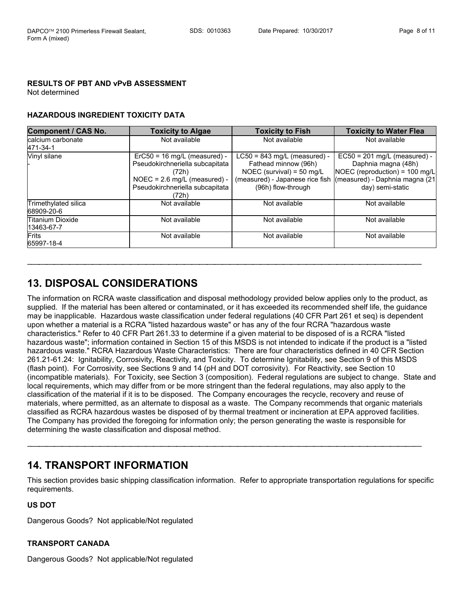## **RESULTS OF PBT AND vPvB ASSESSMENT**

Not determined

## **HAZARDOUS INGREDIENT TOXICITY DATA**

| <b>Component / CAS No.</b>         | <b>Toxicity to Algae</b>                                                                                                                                 | <b>Toxicity to Fish</b>                                                                                                                        | <b>Toxicity to Water Flea</b>                                                                                                                 |
|------------------------------------|----------------------------------------------------------------------------------------------------------------------------------------------------------|------------------------------------------------------------------------------------------------------------------------------------------------|-----------------------------------------------------------------------------------------------------------------------------------------------|
| calcium carbonate<br>471-34-1      | Not available                                                                                                                                            | Not available                                                                                                                                  | Not available                                                                                                                                 |
| Vinyl silane                       | $ErC50 = 16$ mg/L (measured) -<br>Pseudokirchneriella subcapitata<br>(72h)<br>$NOEC = 2.6$ mg/L (measured) -<br>Pseudokirchneriella subcapitata<br>(72h) | $LC50 = 843$ mg/L (measured) -<br>Fathead minnow (96h)<br>NOEC (survival) = $50$ mg/L<br>(measured) - Japanese rice fish<br>(96h) flow-through | $EC50 = 201$ mg/L (measured) -<br>Daphnia magna (48h)<br>NOEC (reproduction) = 100 mg/L<br>(measured) - Daphnia magna (21<br>day) semi-static |
| Trimethylated silica<br>68909-20-6 | Not available                                                                                                                                            | Not available                                                                                                                                  | Not available                                                                                                                                 |
| Titanium Dioxide<br>13463-67-7     | Not available                                                                                                                                            | Not available                                                                                                                                  | Not available                                                                                                                                 |
| <b>Frits</b><br>65997-18-4         | Not available                                                                                                                                            | Not available                                                                                                                                  | Not available                                                                                                                                 |

−⎯⎯⎯⎯⎯⎯⎯⎯⎯⎯⎯⎯⎯⎯⎯⎯⎯⎯⎯⎯⎯⎯⎯⎯⎯⎯⎯⎯⎯⎯⎯⎯⎯⎯⎯⎯⎯⎯⎯⎯⎯⎯⎯⎯⎯⎯⎯⎯⎯⎯−−

## **13. DISPOSAL CONSIDERATIONS**

The information on RCRA waste classification and disposal methodology provided below applies only to the product, as supplied. If the material has been altered or contaminated, or it has exceeded its recommended shelf life, the guidance may be inapplicable. Hazardous waste classification under federal regulations (40 CFR Part 261 et seq) is dependent upon whether a material is a RCRA "listed hazardous waste" or has any of the four RCRA "hazardous waste characteristics." Refer to 40 CFR Part 261.33 to determine if a given material to be disposed of is a RCRA "listed hazardous waste"; information contained in Section 15 of this MSDS is not intended to indicate if the product is a "listed hazardous waste." RCRA Hazardous Waste Characteristics: There are four characteristics defined in 40 CFR Section 261.21-61.24: Ignitability, Corrosivity, Reactivity, and Toxicity. To determine Ignitability, see Section 9 of this MSDS (flash point). For Corrosivity, see Sections 9 and 14 (pH and DOT corrosivity). For Reactivity, see Section 10 (incompatible materials). For Toxicity, see Section 3 (composition). Federal regulations are subject to change. State and local requirements, which may differ from or be more stringent than the federal regulations, may also apply to the classification of the material if it is to be disposed. The Company encourages the recycle, recovery and reuse of materials, where permitted, as an alternate to disposal as a waste. The Company recommends that organic materials classified as RCRA hazardous wastes be disposed of by thermal treatment or incineration at EPA approved facilities. The Company has provided the foregoing for information only; the person generating the waste is responsible for determining the waste classification and disposal method.

## **14. TRANSPORT INFORMATION**

This section provides basic shipping classification information. Refer to appropriate transportation regulations for specific requirements.

−⎯⎯⎯⎯⎯⎯⎯⎯⎯⎯⎯⎯⎯⎯⎯⎯⎯⎯⎯⎯⎯⎯⎯⎯⎯⎯⎯⎯⎯⎯⎯⎯⎯⎯⎯⎯⎯⎯⎯⎯⎯⎯⎯⎯⎯⎯⎯⎯⎯⎯−−

## **US DOT**

Dangerous Goods? Not applicable/Not regulated

## **TRANSPORT CANADA**

Dangerous Goods? Not applicable/Not regulated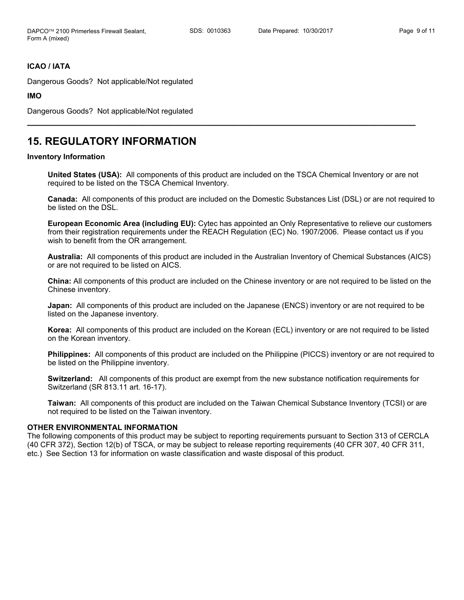## **ICAO / IATA**

Dangerous Goods? Not applicable/Not regulated

**IMO**

Dangerous Goods? Not applicable/Not regulated

## **15. REGULATORY INFORMATION**

#### **Inventory Information**

**United States (USA):** All components of this product are included on the TSCA Chemical Inventory or are not required to be listed on the TSCA Chemical Inventory.

**\_\_\_\_\_\_\_\_\_\_\_\_\_\_\_\_\_\_\_\_\_\_\_\_\_\_\_\_\_\_\_\_\_\_\_\_\_\_\_\_\_\_\_\_\_\_\_\_\_\_\_\_\_\_\_\_\_\_\_\_\_\_\_\_\_\_\_\_\_\_\_\_\_\_\_\_\_**

**Canada:** All components of this product are included on the Domestic Substances List (DSL) or are not required to be listed on the DSL.

**European Economic Area (including EU):** Cytec has appointed an Only Representative to relieve our customers from their registration requirements under the REACH Regulation (EC) No. 1907/2006. Please contact us if you wish to benefit from the OR arrangement.

**Australia:** All components of this product are included in the Australian Inventory of Chemical Substances (AICS) or are not required to be listed on AICS.

**China:** All components of this product are included on the Chinese inventory or are not required to be listed on the Chinese inventory.

**Japan:** All components of this product are included on the Japanese (ENCS) inventory or are not required to be listed on the Japanese inventory.

**Korea:** All components of this product are included on the Korean (ECL) inventory or are not required to be listed on the Korean inventory.

**Philippines:** All components of this product are included on the Philippine (PICCS) inventory or are not required to be listed on the Philippine inventory.

**Switzerland:** All components of this product are exempt from the new substance notification requirements for Switzerland (SR 813.11 art. 16-17).

**Taiwan:** All components of this product are included on the Taiwan Chemical Substance Inventory (TCSI) or are not required to be listed on the Taiwan inventory.

#### **OTHER ENVIRONMENTAL INFORMATION**

The following components of this product may be subject to reporting requirements pursuant to Section 313 of CERCLA (40 CFR 372), Section 12(b) of TSCA, or may be subject to release reporting requirements (40 CFR 307, 40 CFR 311, etc.) See Section 13 for information on waste classification and waste disposal of this product.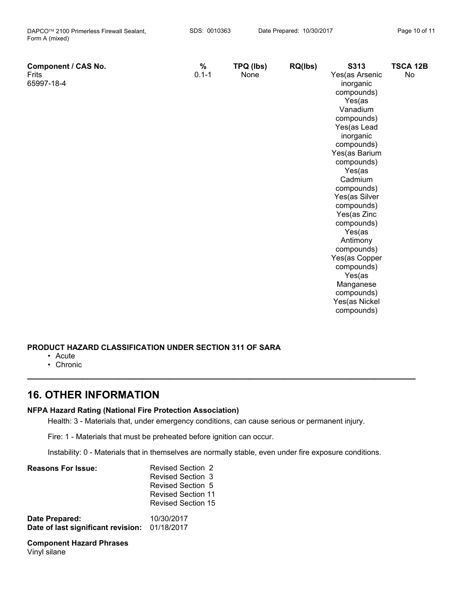| <b>Component / CAS No.</b><br>Frits<br>65997-18-4 | $\%$<br>$0.1 - 1$ | TPQ (lbs)<br>None | RQ(lbs) | S313<br>Yes(as Arsenic<br>inorganic<br>compounds)<br>Yes(as<br>Vanadium<br>compounds)<br>Yes(as Lead<br>inorganic<br>compounds)<br>Yes(as Barium<br>compounds)<br>Yes(as<br>Cadmium<br>compounds)<br>Yes(as Silver<br>compounds)<br>Yes(as Zinc<br>compounds)<br>Yes(as<br>Antimony<br>compounds)<br>Yes(as Copper<br>compounds)<br>Yes(as<br>Manganese<br>compounds)<br>Yes(as Nickel | <b>TSCA 12B</b><br>No |
|---------------------------------------------------|-------------------|-------------------|---------|----------------------------------------------------------------------------------------------------------------------------------------------------------------------------------------------------------------------------------------------------------------------------------------------------------------------------------------------------------------------------------------|-----------------------|
|                                                   |                   |                   |         | compounds)                                                                                                                                                                                                                                                                                                                                                                             |                       |

## **PRODUCT HAZARD CLASSIFICATION UNDER SECTION 311 OF SARA**

- Acute
- Chronic

## **16. OTHER INFORMATION**

## **NFPA Hazard Rating (National Fire Protection Association)**

Health: 3 - Materials that, under emergency conditions, can cause serious or permanent injury.

Fire: 1 - Materials that must be preheated before ignition can occur.

Instability: 0 - Materials that in themselves are normally stable, even under fire exposure conditions.

**\_\_\_\_\_\_\_\_\_\_\_\_\_\_\_\_\_\_\_\_\_\_\_\_\_\_\_\_\_\_\_\_\_\_\_\_\_\_\_\_\_\_\_\_\_\_\_\_\_\_\_\_\_\_\_\_\_\_\_\_\_\_\_\_\_\_\_\_\_\_\_\_\_\_\_\_\_**

| <b>Reasons For Issue:</b>                                       | <b>Revised Section 2</b><br><b>Revised Section 3</b><br>Revised Section 5<br><b>Revised Section 11</b><br><b>Revised Section 15</b> |
|-----------------------------------------------------------------|-------------------------------------------------------------------------------------------------------------------------------------|
| Date Prepared:<br>Date of last significant revision: 01/18/2017 | 10/30/2017                                                                                                                          |

**Component Hazard Phrases** Vinyl silane